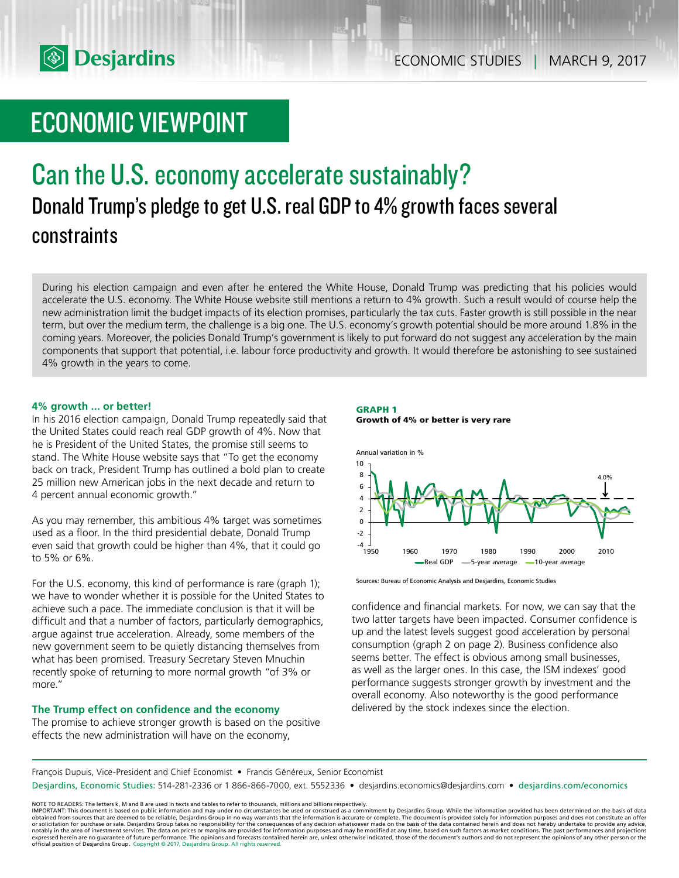

# ECONOMIC VIEWPOINT

# Can the U.S. economy accelerate sustainably? Donald Trump's pledge to get U.S. real GDP to 4% growth faces several constraints

During his election campaign and even after he entered the White House, Donald Trump was predicting that his policies would accelerate the U.S. economy. The White House website still mentions a return to 4% growth. Such a result would of course help the new administration limit the budget impacts of its election promises, particularly the tax cuts. Faster growth is still possible in the near term, but over the medium term, the challenge is a big one. The U.S. economy's growth potential should be more around 1.8% in the coming years. Moreover, the policies Donald Trump's government is likely to put forward do not suggest any acceleration by the main components that support that potential, i.e. labour force productivity and growth. It would therefore be astonishing to see sustained 4% growth in the years to come.

## **4% growth ... or better!**

In his 2016 election campaign, Donald Trump repeatedly said that the United States could reach real GDP growth of 4%. Now that he is President of the United States, the promise still seems to stand. The White House website says that "To get the economy back on track, President Trump has outlined a bold plan to create 25 million new American jobs in the next decade and return to 4 percent annual economic growth."

As you may remember, this ambitious 4% target was sometimes used as a floor. In the third presidential debate, Donald Trump even said that growth could be higher than 4%, that it could go to 5% or 6%.

For the U.S. economy, this kind of performance is rare (graph 1); we have to wonder whether it is possible for the United States to achieve such a pace. The immediate conclusion is that it will be difficult and that a number of factors, particularly demographics, argue against true acceleration. Already, some members of the new government seem to be quietly distancing themselves from what has been promised. Treasury Secretary Steven Mnuchin recently spoke of returning to more normal growth "of 3% or more."

# **The Trump effect on confidence and the economy**

The promise to achieve stronger growth is based on the positive effects the new administration will have on the economy,





Sources: Bureau of Economic Analysis and Desjardins, Economic Studies

confidence and financial markets. For now, we can say that the two latter targets have been impacted. Consumer confidence is up and the latest levels suggest good acceleration by personal consumption (graph 2 on page 2). Business confidence also seems better. The effect is obvious among small businesses, as well as the larger ones. In this case, the ISM indexes' good performance suggests stronger growth by investment and the overall economy. Also noteworthy is the good performance delivered by the stock indexes since the election.

François Dupuis, Vice-President and Chief Economist • Francis Généreux, Senior Economist

Desjardins, Economic Studies: 514-281-2336 or 1 866-866-7000, ext. 5552336 • desjardins.economics@desjardins.com • desjardins.com/economics

NOTE TO READERS: The letters k, M and B are used in texts and tables to refer to thousands, millions and billions respectively.<br>IMPORTANT: This document is based on public information and may under no circumstances be used obtained from sources that are deemed to be reliable, Desjardins Group in no way warrants that the information is accurate or complete. The document is provided solely for information purposes and does not constitute an of expressed herein are no guarantee of future performance. The opinions and forecasts contained herein are, unless otherwise indicated, those of the document's authors and do not represent the opinions of any other person or official position of Desjardins Group. Copyright © 2017, Desjardins Group. All rights reserved.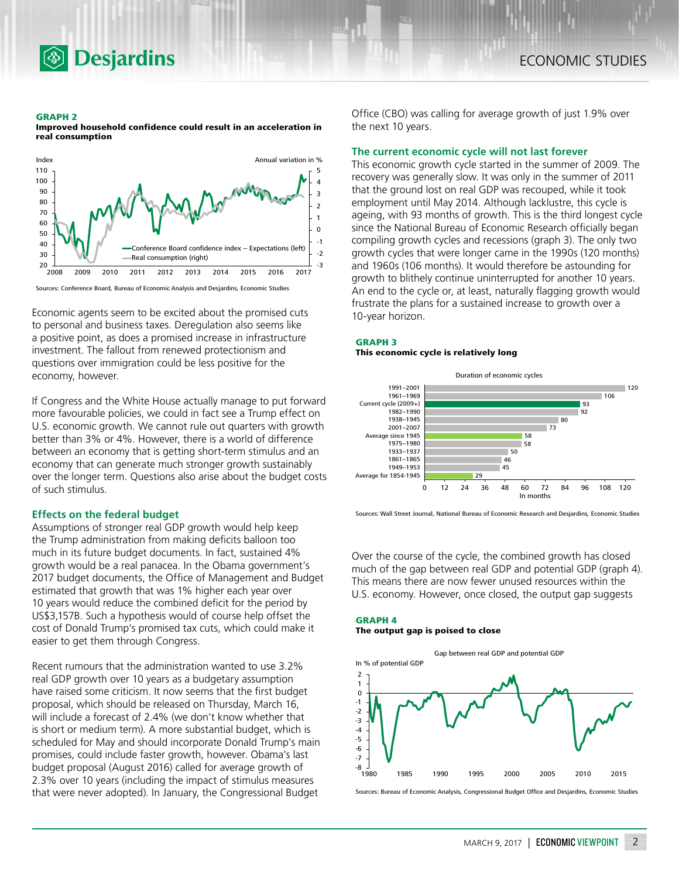

#### **GRAPH 2**

**Improved household confidence could result in an acceleration in real consumption**

**Desjardins** 



Sources: Conference Board, Bureau of Economic Analysis and Desjardins, Economic Studies

Economic agents seem to be excited about the promised cuts to personal and business taxes. Deregulation also seems like a positive point, as does a promised increase in infrastructure investment. The fallout from renewed protectionism and questions over immigration could be less positive for the economy, however.

If Congress and the White House actually manage to put forward more favourable policies, we could in fact see a Trump effect on U.S. economic growth. We cannot rule out quarters with growth better than 3% or 4%. However, there is a world of difference between an economy that is getting short-term stimulus and an economy that can generate much stronger growth sustainably over the longer term. Questions also arise about the budget costs of such stimulus.

## **Effects on the federal budget**

Assumptions of stronger real GDP growth would help keep the Trump administration from making deficits balloon too much in its future budget documents. In fact, sustained 4% growth would be a real panacea. In the Obama government's 2017 budget documents, the Office of Management and Budget estimated that growth that was 1% higher each year over 10 years would reduce the combined deficit for the period by US\$3,157B. Such a hypothesis would of course help offset the cost of Donald Trump's promised tax cuts, which could make it easier to get them through Congress.

Recent rumours that the administration wanted to use 3.2% real GDP growth over 10 years as a budgetary assumption have raised some criticism. It now seems that the first budget proposal, which should be released on Thursday, March 16, will include a forecast of 2.4% (we don't know whether that is short or medium term). A more substantial budget, which is scheduled for May and should incorporate Donald Trump's main promises, could include faster growth, however. Obama's last budget proposal (August 2016) called for average growth of 2.3% over 10 years (including the impact of stimulus measures that were never adopted). In January, the Congressional Budget

Office (CBO) was calling for average growth of just 1.9% over the next 10 years.

### **The current economic cycle will not last forever**

This economic growth cycle started in the summer of 2009. The recovery was generally slow. It was only in the summer of 2011 that the ground lost on real GDP was recouped, while it took employment until May 2014. Although lacklustre, this cycle is ageing, with 93 months of growth. This is the third longest cycle since the National Bureau of Economic Research officially began compiling growth cycles and recessions (graph 3). The only two growth cycles that were longer came in the 1990s (120 months) and 1960s (106 months). It would therefore be astounding for growth to blithely continue uninterrupted for another 10 years. An end to the cycle or, at least, naturally flagging growth would frustrate the plans for a sustained increase to growth over a 10-year horizon.

## **GRAPH 3**

#### **This economic cycle is relatively long**



Sources: Wall Street Journal, National Bureau of Economic Research and Desjardins, Economic Studies

Over the course of the cycle, the combined growth has closed much of the gap between real GDP and potential GDP (graph 4). This means there are now fewer unused resources within the U.S. economy. However, once closed, the output gap suggests

#### **GRAPH 4 The output gap is poised to close**



Sources: Bureau of Economic Analysis, Congressional Budget Office and Desjardins, Economic Studies